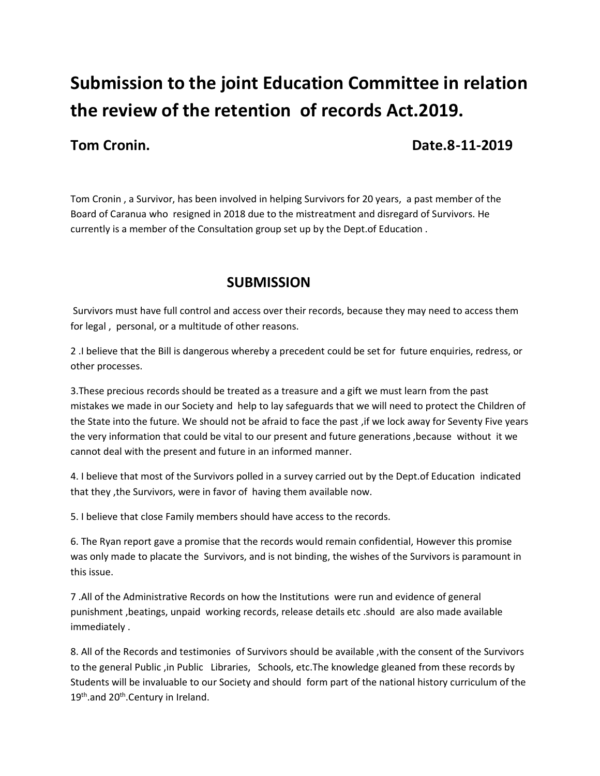## **Submission to the joint Education Committee in relation the review of the retention of records Act.2019.**

**Tom Cronin.** 2019

Tom Cronin , a Survivor, has been involved in helping Survivors for 20 years, a past member of the Board of Caranua who resigned in 2018 due to the mistreatment and disregard of Survivors. He currently is a member of the Consultation group set up by the Dept.of Education .

## **SUBMISSION**

Survivors must have full control and access over their records, because they may need to access them for legal , personal, or a multitude of other reasons.

2 .I believe that the Bill is dangerous whereby a precedent could be set for future enquiries, redress, or other processes.

3.These precious records should be treated as a treasure and a gift we must learn from the past mistakes we made in our Society and help to lay safeguards that we will need to protect the Children of the State into the future. We should not be afraid to face the past ,if we lock away for Seventy Five years the very information that could be vital to our present and future generations ,because without it we cannot deal with the present and future in an informed manner.

4. I believe that most of the Survivors polled in a survey carried out by the Dept.of Education indicated that they ,the Survivors, were in favor of having them available now.

5. I believe that close Family members should have access to the records.

6. The Ryan report gave a promise that the records would remain confidential, However this promise was only made to placate the Survivors, and is not binding, the wishes of the Survivors is paramount in this issue.

7 .All of the Administrative Records on how the Institutions were run and evidence of general punishment ,beatings, unpaid working records, release details etc .should are also made available immediately .

8. All of the Records and testimonies of Survivors should be available ,with the consent of the Survivors to the general Public ,in Public Libraries, Schools, etc.The knowledge gleaned from these records by Students will be invaluable to our Society and should form part of the national history curriculum of the 19<sup>th</sup>.and 20<sup>th</sup>.Century in Ireland.